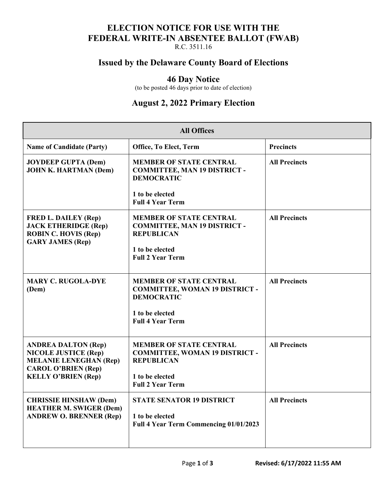## **ELECTION NOTICE FOR USE WITH THE FEDERAL WRITE-IN ABSENTEE BALLOT (FWAB)**

R.C. 3511.16

### **Issued by the Delaware County Board of Elections**

#### **46 Day Notice**

(to be posted 46 days prior to date of election)

## **August 2, 2022 Primary Election**

| <b>All Offices</b>                                                                                                                                     |                                                                                              |                      |  |
|--------------------------------------------------------------------------------------------------------------------------------------------------------|----------------------------------------------------------------------------------------------|----------------------|--|
| <b>Name of Candidate (Party)</b>                                                                                                                       | Office, To Elect, Term                                                                       | <b>Precincts</b>     |  |
| <b>JOYDEEP GUPTA (Dem)</b><br><b>JOHN K. HARTMAN (Dem)</b>                                                                                             | <b>MEMBER OF STATE CENTRAL</b><br><b>COMMITTEE, MAN 19 DISTRICT -</b><br><b>DEMOCRATIC</b>   | <b>All Precincts</b> |  |
|                                                                                                                                                        | 1 to be elected<br><b>Full 4 Year Term</b>                                                   |                      |  |
| <b>FRED L. DAILEY (Rep)</b><br><b>JACK ETHERIDGE (Rep)</b><br><b>ROBIN C. HOVIS (Rep)</b><br><b>GARY JAMES (Rep)</b>                                   | <b>MEMBER OF STATE CENTRAL</b><br><b>COMMITTEE, MAN 19 DISTRICT -</b><br><b>REPUBLICAN</b>   | <b>All Precincts</b> |  |
|                                                                                                                                                        | 1 to be elected<br><b>Full 2 Year Term</b>                                                   |                      |  |
| <b>MARY C. RUGOLA-DYE</b><br>(Dem)                                                                                                                     | <b>MEMBER OF STATE CENTRAL</b><br><b>COMMITTEE, WOMAN 19 DISTRICT -</b><br><b>DEMOCRATIC</b> | <b>All Precincts</b> |  |
|                                                                                                                                                        | 1 to be elected<br><b>Full 4 Year Term</b>                                                   |                      |  |
| <b>ANDREA DALTON (Rep)</b><br><b>NICOLE JUSTICE (Rep)</b><br><b>MELANIE LENEGHAN (Rep)</b><br><b>CAROL O'BRIEN (Rep)</b><br><b>KELLY O'BRIEN (Rep)</b> | <b>MEMBER OF STATE CENTRAL</b><br><b>COMMITTEE, WOMAN 19 DISTRICT -</b><br><b>REPUBLICAN</b> | <b>All Precincts</b> |  |
|                                                                                                                                                        | 1 to be elected<br><b>Full 2 Year Term</b>                                                   |                      |  |
| <b>CHRISSIE HINSHAW (Dem)</b><br><b>HEATHER M. SWIGER (Dem)</b><br><b>ANDREW O. BRENNER (Rep)</b>                                                      | <b>STATE SENATOR 19 DISTRICT</b>                                                             | <b>All Precincts</b> |  |
|                                                                                                                                                        | 1 to be elected<br>Full 4 Year Term Commencing 01/01/2023                                    |                      |  |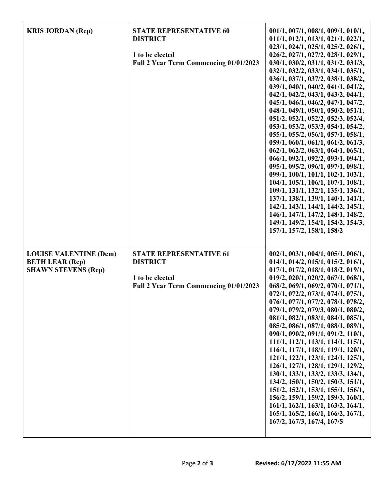| <b>KRIS JORDAN (Rep)</b>                                                              | <b>STATE REPRESENTATIVE 60</b><br><b>DISTRICT</b><br>1 to be elected<br>Full 2 Year Term Commencing 01/01/2023 | 001/1, 007/1, 008/1, 009/1, 010/1,<br>011/1, 012/1, 013/1, 021/1, 022/1,<br>023/1, 024/1, 025/1, 025/2, 026/1,<br>026/2, 027/1, 027/2, 028/1, 029/1,<br>030/1, 030/2, 031/1, 031/2, 031/3,<br>032/1, 032/2, 033/1, 034/1, 035/1,<br>036/1, 037/1, 037/2, 038/1, 038/2,<br>039/1, 040/1, 040/2, 041/1, 041/2,<br>042/1, 042/2, 043/1, 043/2, 044/1,<br>045/1, 046/1, 046/2, 047/1, 047/2,<br>048/1, 049/1, 050/1, 050/2, 051/1,<br>051/2, 052/1, 052/2, 052/3, 052/4,<br>053/1, 053/2, 053/3, 054/1, 054/2,<br>055/1, 055/2, 056/1, 057/1, 058/1,<br>059/1, 060/1, 061/1, 061/2, 061/3,<br>062/1, 062/2, 063/1, 064/1, 065/1,<br>066/1, 092/1, 092/2, 093/1, 094/1,<br>095/1, 095/2, 096/1, 097/1, 098/1,<br>099/1, 100/1, 101/1, 102/1, 103/1,<br>104/1, 105/1, 106/1, 107/1, 108/1,<br>109/1, 131/1, 132/1, 135/1, 136/1,<br>137/1, 138/1, 139/1, 140/1, 141/1,<br>142/1, 143/1, 144/1, 144/2, 145/1,<br>146/1, 147/1, 147/2, 148/1, 148/2,<br>149/1, 149/2, 154/1, 154/2, 154/3,<br>157/1, 157/2, 158/1, 158/2 |
|---------------------------------------------------------------------------------------|----------------------------------------------------------------------------------------------------------------|------------------------------------------------------------------------------------------------------------------------------------------------------------------------------------------------------------------------------------------------------------------------------------------------------------------------------------------------------------------------------------------------------------------------------------------------------------------------------------------------------------------------------------------------------------------------------------------------------------------------------------------------------------------------------------------------------------------------------------------------------------------------------------------------------------------------------------------------------------------------------------------------------------------------------------------------------------------------------------------------------------------|
| <b>LOUISE VALENTINE (Dem)</b><br><b>BETH LEAR (Rep)</b><br><b>SHAWN STEVENS (Rep)</b> | <b>STATE REPRESENTATIVE 61</b><br><b>DISTRICT</b><br>1 to be elected<br>Full 2 Year Term Commencing 01/01/2023 | 002/1, 003/1, 004/1, 005/1, 006/1,<br>014/1, 014/2, 015/1, 015/2, 016/1,<br>017/1, 017/2, 018/1, 018/2, 019/1,<br>019/2, 020/1, 020/2, 067/1, 068/1,<br>068/2, 069/1, 069/2, 070/1, 071/1,<br>072/1, 072/2, 073/1, 074/1, 075/1,<br>076/1, 077/1, 077/2, 078/1, 078/2,<br>079/1, 079/2, 079/3, 080/1, 080/2,<br>081/1, 082/1, 083/1, 084/1, 085/1,<br>085/2, 086/1, 087/1, 088/1, 089/1,<br>090/1, 090/2, 091/1, 091/2, 110/1,<br>111/1, 112/1, 113/1, 114/1, 115/1,<br>116/1, 117/1, 118/1, 119/1, 120/1,<br>121/1, 122/1, 123/1, 124/1, 125/1,<br>126/1, 127/1, 128/1, 129/1, 129/2,<br>130/1, 133/1, 133/2, 133/3, 134/1,<br>134/2, 150/1, 150/2, 150/3, 151/1,<br>151/2, 152/1, 153/1, 155/1, 156/1,<br>156/2, 159/1, 159/2, 159/3, 160/1,<br>161/1, 162/1, 163/1, 163/2, 164/1,<br>165/1, 165/2, 166/1, 166/2, 167/1,<br>167/2, 167/3, 167/4, 167/5                                                                                                                                                         |